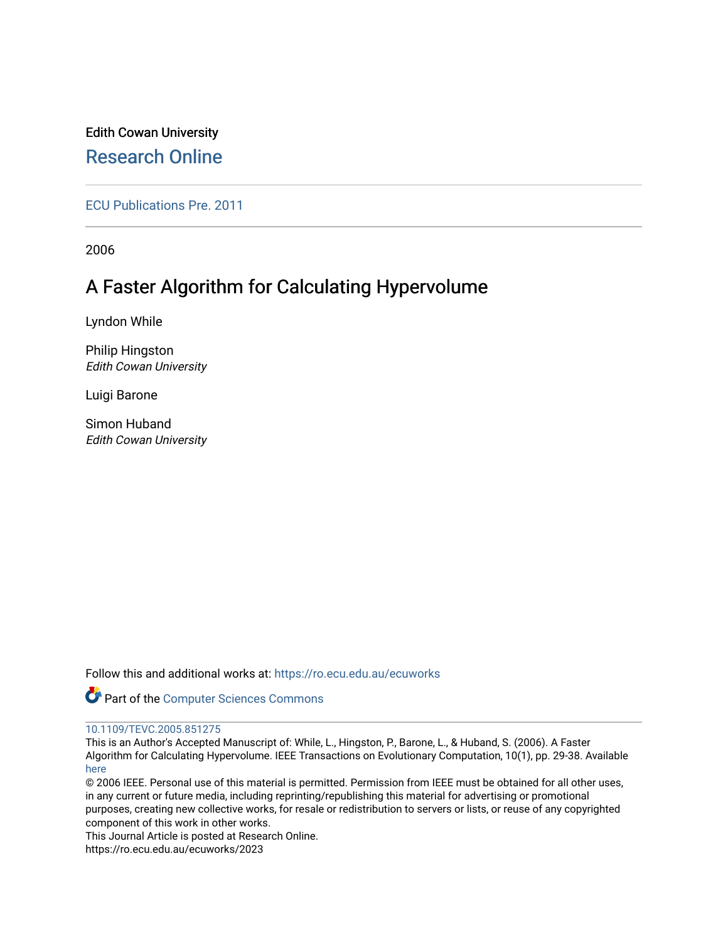## Edith Cowan University [Research Online](https://ro.ecu.edu.au/)

[ECU Publications Pre. 2011](https://ro.ecu.edu.au/ecuworks)

2006

## A Faster Algorithm for Calculating Hypervolume

Lyndon While

Philip Hingston Edith Cowan University

Luigi Barone

Simon Huband Edith Cowan University

Follow this and additional works at: [https://ro.ecu.edu.au/ecuworks](https://ro.ecu.edu.au/ecuworks?utm_source=ro.ecu.edu.au%2Fecuworks%2F2023&utm_medium=PDF&utm_campaign=PDFCoverPages) 

Part of the [Computer Sciences Commons](http://network.bepress.com/hgg/discipline/142?utm_source=ro.ecu.edu.au%2Fecuworks%2F2023&utm_medium=PDF&utm_campaign=PDFCoverPages)

### [10.1109/TEVC.2005.851275](http://dx.doi.org/10.1109/TEVC.2005.851275)

This is an Author's Accepted Manuscript of: While, L., Hingston, P., Barone, L., & Huband, S. (2006). A Faster Algorithm for Calculating Hypervolume. IEEE Transactions on Evolutionary Computation, 10(1), pp. 29-38. Available [here](http://dx.doi.org/10.1109/TEVC.2005.851275)

© 2006 IEEE. Personal use of this material is permitted. Permission from IEEE must be obtained for all other uses, in any current or future media, including reprinting/republishing this material for advertising or promotional purposes, creating new collective works, for resale or redistribution to servers or lists, or reuse of any copyrighted component of this work in other works.

This Journal Article is posted at Research Online.

https://ro.ecu.edu.au/ecuworks/2023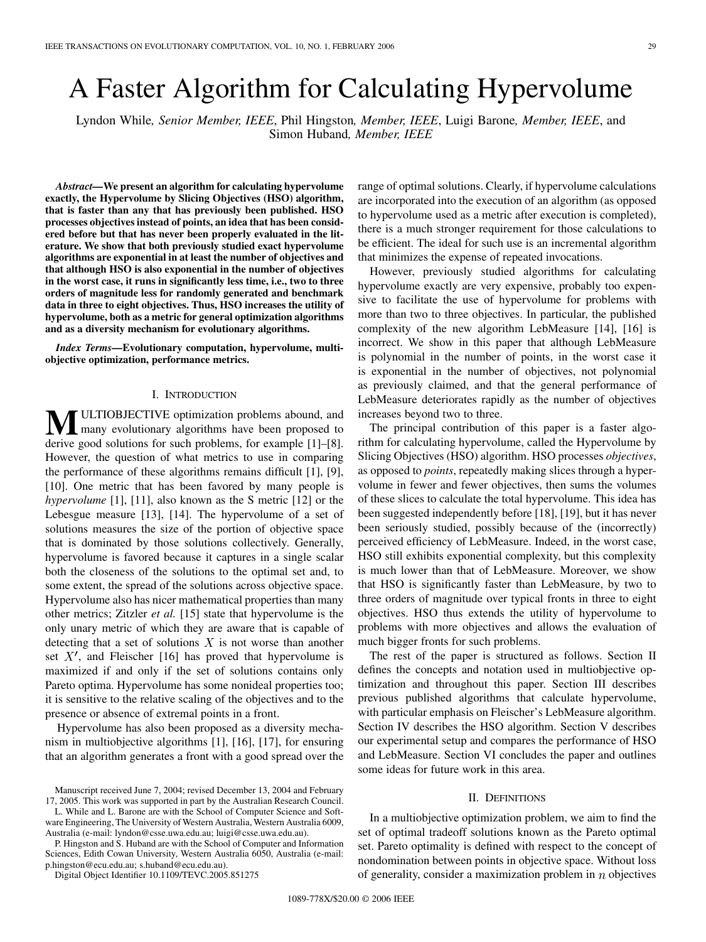# A Faster Algorithm for Calculating Hypervolume

Lyndon While*, Senior Member, IEEE*, Phil Hingston*, Member, IEEE*, Luigi Barone*, Member, IEEE*, and Simon Huband*, Member, IEEE*

*Abstract—***We present an algorithm for calculating hypervolume exactly, the Hypervolume by Slicing Objectives (HSO) algorithm, that is faster than any that has previously been published. HSO processes objectives instead of points, an idea that has been considered before but that has never been properly evaluated in the literature. We show that both previously studied exact hypervolume algorithms are exponential in at least the number of objectives and that although HSO is also exponential in the number of objectives in the worst case, it runs in significantly less time, i.e., two to three orders of magnitude less for randomly generated and benchmark data in three to eight objectives. Thus, HSO increases the utility of hypervolume, both as a metric for general optimization algorithms and as a diversity mechanism for evolutionary algorithms.**

*Index Terms—***Evolutionary computation, hypervolume, multiobjective optimization, performance metrics.**

#### I. INTRODUCTION

**M**ULTIOBJECTIVE optimization problems abound, and<br>degree a good solutions for such problems, for summab [1], [9] derive good solutions for such problems, for example [[1\]](#page-9-0)–[\[8](#page-9-0)]. However, the question of what metrics to use in comparing the performance of these algorithms remains difficult [\[1\]](#page-9-0), [\[9](#page-9-0)], [\[10](#page-9-0)]. One metric that has been favored by many people is *hypervolume* [\[1](#page-9-0)], [\[11](#page-9-0)], also known as the S metric [\[12](#page-9-0)] or the Lebesgue measure [\[13](#page-9-0)], [[14\]](#page-9-0). The hypervolume of a set of solutions measures the size of the portion of objective space that is dominated by those solutions collectively. Generally, hypervolume is favored because it captures in a single scalar both the closeness of the solutions to the optimal set and, to some extent, the spread of the solutions across objective space. Hypervolume also has nicer mathematical properties than many other metrics; Zitzler *et al.* [[15\]](#page-9-0) state that hypervolume is the only unary metric of which they are aware that is capable of detecting that a set of solutions  $X$  is not worse than another set  $X'$ , and Fleischer [\[16](#page-9-0)] has proved that hypervolume is maximized if and only if the set of solutions contains only Pareto optima. Hypervolume has some nonideal properties too; it is sensitive to the relative scaling of the objectives and to the presence or absence of extremal points in a front.

Hypervolume has also been proposed as a diversity mechanism in multiobjective algorithms [\[1](#page-9-0)], [[16\]](#page-9-0), [[17\]](#page-9-0), for ensuring that an algorithm generates a front with a good spread over the

Manuscript received June 7, 2004; revised December 13, 2004 and February 17, 2005. This work was supported in part by the Australian Research Council.

L. While and L. Barone are with the School of Computer Science and Soft-

ware Engineering, The University of Western Australia, Western Australia 6009, Australia (e-mail: lyndon@csse.uwa.edu.au; luigi@csse.uwa.edu.au).

P. Hingston and S. Huband are with the School of Computer and Information Sciences, Edith Cowan University, Western Australia 6050, Australia (e-mail: p.hingston@ecu.edu.au; s.huband@ecu.edu.au).

Digital Object Identifier 10.1109/TEVC.2005.851275

range of optimal solutions. Clearly, if hypervolume calculations are incorporated into the execution of an algorithm (as opposed to hypervolume used as a metric after execution is completed), there is a much stronger requirement for those calculations to be efficient. The ideal for such use is an incremental algorithm that minimizes the expense of repeated invocations.

However, previously studied algorithms for calculating hypervolume exactly are very expensive, probably too expensive to facilitate the use of hypervolume for problems with more than two to three objectives. In particular, the published complexity of the new algorithm LebMeasure [\[14](#page-9-0)], [\[16](#page-9-0)] is incorrect. We show in this paper that although LebMeasure is polynomial in the number of points, in the worst case it is exponential in the number of objectives, not polynomial as previously claimed, and that the general performance of LebMeasure deteriorates rapidly as the number of objectives increases beyond two to three.

The principal contribution of this paper is a faster algorithm for calculating hypervolume, called the Hypervolume by Slicing Objectives (HSO) algorithm. HSO processes *objectives*, as opposed to *points*, repeatedly making slices through a hypervolume in fewer and fewer objectives, then sums the volumes of these slices to calculate the total hypervolume. This idea has been suggested independently before [\[18](#page-9-0)], [[19\]](#page-9-0), but it has never been seriously studied, possibly because of the (incorrectly) perceived efficiency of LebMeasure. Indeed, in the worst case, HSO still exhibits exponential complexity, but this complexity is much lower than that of LebMeasure. Moreover, we show that HSO is significantly faster than LebMeasure, by two to three orders of magnitude over typical fronts in three to eight objectives. HSO thus extends the utility of hypervolume to problems with more objectives and allows the evaluation of much bigger fronts for such problems.

The rest of the paper is structured as follows. Section II defines the concepts and notation used in multiobjective optimization and throughout this paper. Section III describes previous published algorithms that calculate hypervolume, with particular emphasis on Fleischer's LebMeasure algorithm. Section IV describes the HSO algorithm. Section V describes our experimental setup and compares the performance of HSO and LebMeasure. Section VI concludes the paper and outlines some ideas for future work in this area.

#### II. DEFINITIONS

In a multiobjective optimization problem, we aim to find the set of optimal tradeoff solutions known as the Pareto optimal set. Pareto optimality is defined with respect to the concept of nondomination between points in objective space. Without loss of generality, consider a maximization problem in  $n$  objectives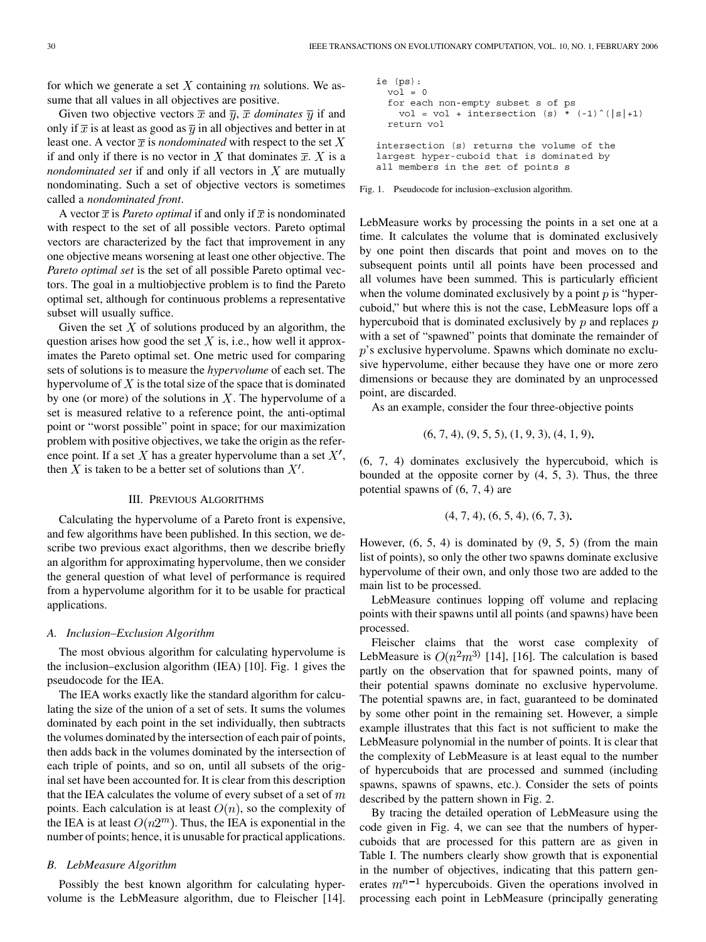for which we generate a set  $X$  containing  $m$  solutions. We assume that all values in all objectives are positive.

Given two objective vectors  $\overline{x}$  and  $\overline{y}$ ,  $\overline{x}$  *dominates*  $\overline{y}$  if and only if  $\overline{x}$  is at least as good as  $\overline{y}$  in all objectives and better in at least one. A vector  $\overline{x}$  is *nondominated* with respect to the set X if and only if there is no vector in X that dominates  $\overline{x}$ . X is a *nondominated set* if and only if all vectors in  $X$  are mutually nondominating. Such a set of objective vectors is sometimes called a *nondominated front*.

A vector  $\overline{x}$  is *Pareto optimal* if and only if  $\overline{x}$  is nondominated with respect to the set of all possible vectors. Pareto optimal vectors are characterized by the fact that improvement in any one objective means worsening at least one other objective. The *Pareto optimal set* is the set of all possible Pareto optimal vectors. The goal in a multiobjective problem is to find the Pareto optimal set, although for continuous problems a representative subset will usually suffice.

Given the set  $X$  of solutions produced by an algorithm, the question arises how good the set X is, i.e., how well it approximates the Pareto optimal set. One metric used for comparing sets of solutions is to measure the *hypervolume* of each set. The hypervolume of  $X$  is the total size of the space that is dominated by one (or more) of the solutions in  $X$ . The hypervolume of a set is measured relative to a reference point, the anti-optimal point or "worst possible" point in space; for our maximization problem with positive objectives, we take the origin as the reference point. If a set X has a greater hypervolume than a set  $X'$ , then X is taken to be a better set of solutions than  $X'$ .

#### III. PREVIOUS ALGORITHMS

Calculating the hypervolume of a Pareto front is expensive, and few algorithms have been published. In this section, we describe two previous exact algorithms, then we describe briefly an algorithm for approximating hypervolume, then we consider the general question of what level of performance is required from a hypervolume algorithm for it to be usable for practical applications.

#### *A. Inclusion–Exclusion Algorithm*

The most obvious algorithm for calculating hypervolume is the inclusion–exclusion algorithm (IEA) [[10\]](#page-9-0). Fig. 1 gives the pseudocode for the IEA.

The IEA works exactly like the standard algorithm for calculating the size of the union of a set of sets. It sums the volumes dominated by each point in the set individually, then subtracts the volumes dominated by the intersection of each pair of points, then adds back in the volumes dominated by the intersection of each triple of points, and so on, until all subsets of the original set have been accounted for. It is clear from this description that the IEA calculates the volume of every subset of a set of  $m$ points. Each calculation is at least  $O(n)$ , so the complexity of the IEA is at least  $O(n2^m)$ . Thus, the IEA is exponential in the number of points; hence, it is unusable for practical applications.

#### *B. LebMeasure Algorithm*

Possibly the best known algorithm for calculating hypervolume is the LebMeasure algorithm, due to Fleischer [[14\]](#page-9-0).

```
ie (ps) :
  vol = 0for each non-empty subset s of ps
   vol = vol + intersection (s) * (-1)^{(-1)}return vol
intersection (s) returns the volume of the
largest hyper-cuboid that is dominated by
all members in the set of points s
```
Fig. 1. Pseudocode for inclusion–exclusion algorithm.

LebMeasure works by processing the points in a set one at a time. It calculates the volume that is dominated exclusively by one point then discards that point and moves on to the subsequent points until all points have been processed and all volumes have been summed. This is particularly efficient when the volume dominated exclusively by a point  $p$  is "hypercuboid," but where this is not the case, LebMeasure lops off a hypercuboid that is dominated exclusively by  $p$  and replaces  $p$ with a set of "spawned" points that dominate the remainder of  $p$ 's exclusive hypervolume. Spawns which dominate no exclusive hypervolume, either because they have one or more zero dimensions or because they are dominated by an unprocessed point, are discarded.

As an example, consider the four three-objective points

$$
(6, 7, 4), (9, 5, 5), (1, 9, 3), (4, 1, 9).
$$

(6, 7, 4) dominates exclusively the hypercuboid, which is bounded at the opposite corner by (4, 5, 3). Thus, the three potential spawns of (6, 7, 4) are

$$
(4, 7, 4), (6, 5, 4), (6, 7, 3).
$$

However,  $(6, 5, 4)$  is dominated by  $(9, 5, 5)$  (from the main list of points), so only the other two spawns dominate exclusive hypervolume of their own, and only those two are added to the main list to be processed.

LebMeasure continues lopping off volume and replacing points with their spawns until all points (and spawns) have been processed.

Fleischer claims that the worst case complexity of LebMeasure is  $O(n^2m^3)$  [[14\]](#page-9-0), [[16\]](#page-9-0). The calculation is based partly on the observation that for spawned points, many of their potential spawns dominate no exclusive hypervolume. The potential spawns are, in fact, guaranteed to be dominated by some other point in the remaining set. However, a simple example illustrates that this fact is not sufficient to make the LebMeasure polynomial in the number of points. It is clear that the complexity of LebMeasure is at least equal to the number of hypercuboids that are processed and summed (including spawns, spawns of spawns, etc.). Consider the sets of points described by the pattern shown in Fig. 2.

By tracing the detailed operation of LebMeasure using the code given in Fig. 4, we can see that the numbers of hypercuboids that are processed for this pattern are as given in Table I. The numbers clearly show growth that is exponential in the number of objectives, indicating that this pattern generates  $m^{n-1}$  hypercuboids. Given the operations involved in processing each point in LebMeasure (principally generating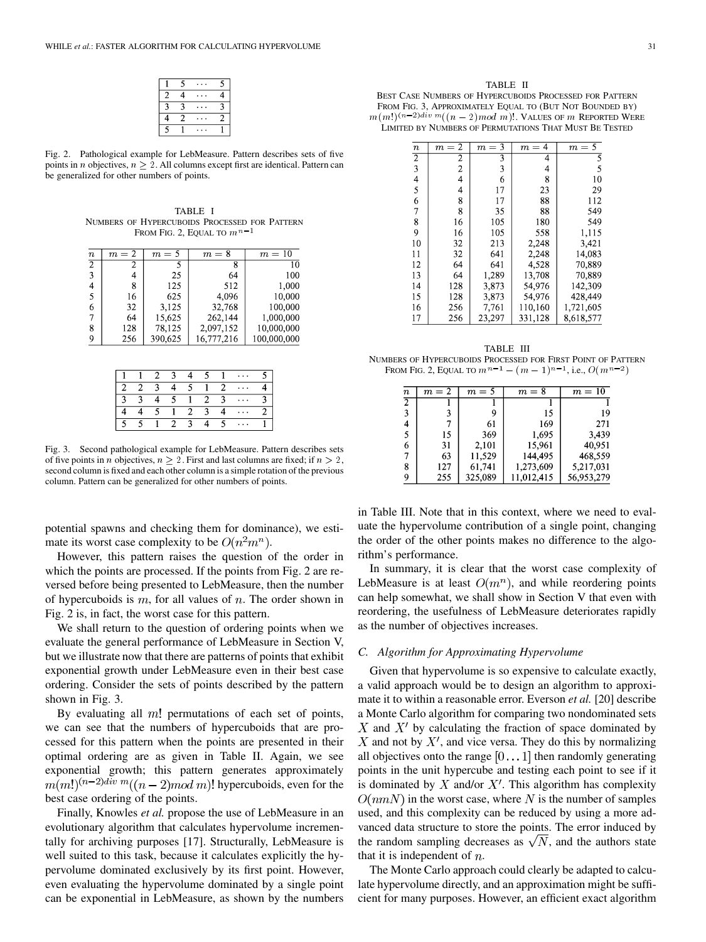| 5 | 5              |
|---|----------------|
| 4 | 4              |
|   |                |
| 2 | $\overline{c}$ |
|   |                |
|   |                |

Fig. 2. Pathological example for LebMeasure. Pattern describes sets of five points in *n* objectives,  $n \geq 2$ . All columns except first are identical. Pattern can be generalized for other numbers of points.

TABLE I NUMBERS OF HYPERCUBOIDS PROCESSED FOR PATTERN FROM FIG. 2, EQUAL TO  $m^{n-1}$ 

| $\it n$        | $m=2$          | $m=5$   | $m=8$      | $m=10$      |
|----------------|----------------|---------|------------|-------------|
| $\frac{2}{3}$  | $\overline{2}$ | 5       | 8          | 10          |
|                | 4              | 25      | 64         | 100         |
| $\frac{4}{5}$  | 8              | 125     | 512        | 1,000       |
|                | 16             | 625     | 4,096      | 10,000      |
| 6              | 32             | 3,125   | 32,768     | 100,000     |
| $\overline{7}$ | 64             | 15,625  | 262,144    | 1,000,000   |
| 8              | 128            | 78,125  | 2,097,152  | 10,000,000  |
| 9              | 256            | 390,625 | 16,777,216 | 100,000,000 |
|                |                |         |            |             |
|                |                |         |            |             |
|                |                |         |            |             |

| $\vert$ 1     | $\overline{1}$              | $2 \quad 3$                         | $\overline{4}$ | 5 <sup>5</sup> |                | $1 - \cdots$             |   |
|---------------|-----------------------------|-------------------------------------|----------------|----------------|----------------|--------------------------|---|
|               |                             |                                     |                |                |                | $2$ 2 3 4 5 1 2 $\cdots$ |   |
|               | $3 \t3 \t4 \t5 \t1 \t2 \t3$ |                                     |                |                |                | $\sim$ $\sim$ $\sim$     | 3 |
| $\boxed{4}$   |                             | $4 \quad 5 \quad 1 \quad 2 \quad 3$ |                |                | $\overline{4}$ | $\sim$ $\sim$ $\sim$     | 2 |
| $\frac{5}{5}$ | 5                           | 1 2 3                               |                | 4              |                | $5 \cdots$               |   |

Fig. 3. Second pathological example for LebMeasure. Pattern describes sets of five points in *n* objectives,  $n \geq 2$ . First and last columns are fixed; if  $n > 2$ , second column is fixed and each other column is a simple rotation of the previous column. Pattern can be generalized for other numbers of points.

potential spawns and checking them for dominance), we estimate its worst case complexity to be  $O(n^2m^n)$ .

However, this pattern raises the question of the order in which the points are processed. If the points from Fig. 2 are reversed before being presented to LebMeasure, then the number of hypercuboids is  $m$ , for all values of  $n$ . The order shown in Fig. 2 is, in fact, the worst case for this pattern.

We shall return to the question of ordering points when we evaluate the general performance of LebMeasure in Section V, but we illustrate now that there are patterns of points that exhibit exponential growth under LebMeasure even in their best case ordering. Consider the sets of points described by the pattern shown in Fig. 3.

By evaluating all  $m!$  permutations of each set of points, we can see that the numbers of hypercuboids that are processed for this pattern when the points are presented in their optimal ordering are as given in Table II. Again, we see exponential growth; this pattern generates approximately  $m(m!)^{(n-2)div m}((n-2)mod m)!$  hypercuboids, even for the best case ordering of the points.

Finally, Knowles *et al.* propose the use of LebMeasure in an evolutionary algorithm that calculates hypervolume incrementally for archiving purposes [[17\]](#page-9-0). Structurally, LebMeasure is well suited to this task, because it calculates explicitly the hypervolume dominated exclusively by its first point. However, even evaluating the hypervolume dominated by a single point can be exponential in LebMeasure, as shown by the numbers

TABLE II BEST CASE NUMBERS OF HYPERCUBOIDS PROCESSED FOR PATTERN FROM FIG. 3, APPROXIMATELY EQUAL TO (BUT NOT BOUNDED BY)  $m(m!)^{(n-2)div m}((n-2)mod m)!$ . VALUES OF *m* REPORTED WERE LIMITED BY NUMBERS OF PERMUTATIONS THAT MUST BE TESTED

| $\it n$                  | $m=2$ | 3<br>$m =$ | $m=4$   | $m=5^-$   |
|--------------------------|-------|------------|---------|-----------|
| $\overline{2}$           | 2     | 3          | 4       | 5         |
| 3                        | 2     | 3          | 4       | 5         |
| $\overline{\mathcal{L}}$ | 4     | 6          | 8       | 10        |
| 5                        | 4     | 17         | 23      | 29        |
| 6                        | 8     | 17         | 88      | 112       |
| 7                        | 8     | 35         | 88      | 549       |
| 8                        | 16    | 105        | 180     | 549       |
| 9                        | 16    | 105        | 558     | 1,115     |
| 10                       | 32    | 213        | 2,248   | 3,421     |
| 11                       | 32    | 641        | 2,248   | 14.083    |
| 12                       | 64    | 641        | 4,528   | 70,889    |
| 13                       | 64    | 1,289      | 13,708  | 70,889    |
| 14                       | 128   | 3,873      | 54,976  | 142,309   |
| 15                       | 128   | 3,873      | 54,976  | 428,449   |
| 16                       | 256   | 7,761      | 110,160 | 1,721,605 |
| 17                       | 256   | 23,297     | 331,128 | 8,618,577 |

TABLE III NUMBERS OF HYPERCUBOIDS PROCESSED FOR FIRST POINT OF PATTERN FROM FIG. 2, EQUAL TO  $m^{n-1} - (m - 1)^{n-1}$ , i.e.,  $O(m^{n-2})$ 

| $\boldsymbol{n}$ | $m=2$ | $m=5$   | $m=8$      | $m=10$     |
|------------------|-------|---------|------------|------------|
| $\mathfrak{p}$   |       |         |            |            |
| 3                |       |         | 15         | 19         |
|                  |       | 61      | 169        | 271        |
| 5                | 15    | 369     | 1,695      | 3.439      |
| 6                | 31    | 2.101   | 15,961     | 40,951     |
|                  | 63    | 11,529  | 144,495    | 468,559    |
| 8                | 127   | 61,741  | 1,273,609  | 5,217,031  |
| 9                | 255   | 325,089 | 11,012,415 | 56,953,279 |

in Table III. Note that in this context, where we need to evaluate the hypervolume contribution of a single point, changing the order of the other points makes no difference to the algorithm's performance.

In summary, it is clear that the worst case complexity of LebMeasure is at least  $O(m^n)$ , and while reordering points can help somewhat, we shall show in Section V that even with reordering, the usefulness of LebMeasure deteriorates rapidly as the number of objectives increases.

#### *C. Algorithm for Approximating Hypervolume*

Given that hypervolume is so expensive to calculate exactly, a valid approach would be to design an algorithm to approximate it to within a reasonable error. Everson *et al.* [\[20](#page-9-0)] describe a Monte Carlo algorithm for comparing two nondominated sets  $X$  and  $X'$  by calculating the fraction of space dominated by  $X$  and not by  $X'$ , and vice versa. They do this by normalizing all objectives onto the range  $[0 \dots 1]$  then randomly generating points in the unit hypercube and testing each point to see if it is dominated by  $X$  and/or  $X'$ . This algorithm has complexity  $O(nmN)$  in the worst case, where N is the number of samples used, and this complexity can be reduced by using a more advanced data structure to store the points. The error induced by the random sampling decreases as  $\sqrt{N}$ , and the authors state that it is independent of  $n$ .

The Monte Carlo approach could clearly be adapted to calculate hypervolume directly, and an approximation might be sufficient for many purposes. However, an efficient exact algorithm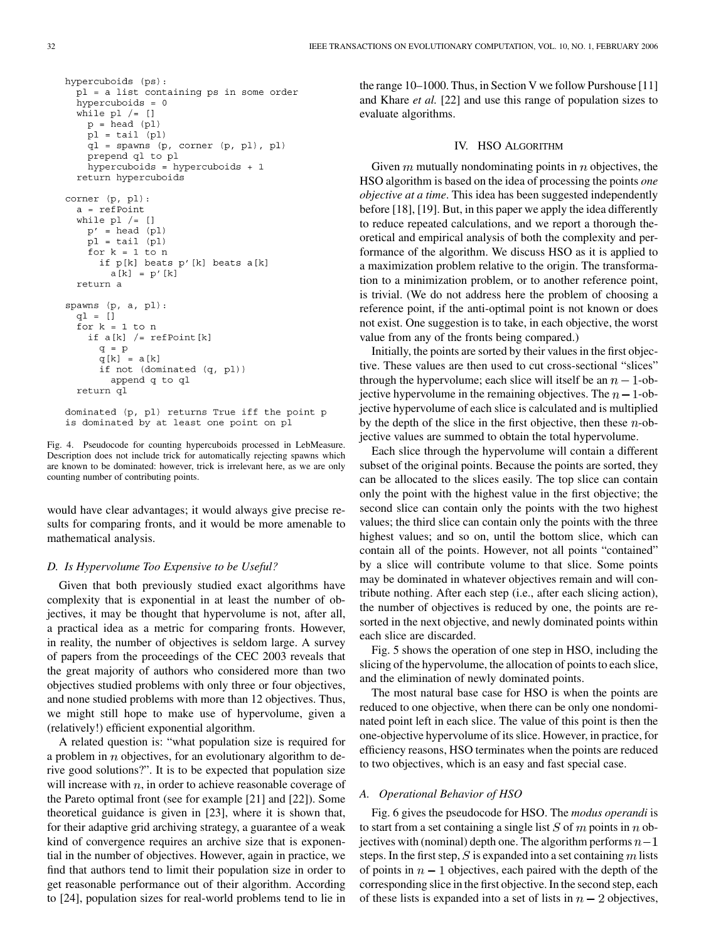```
hypercuboids (ps):
  pl = a list containing ps in some order
  hypercuboids = 0while p1 / = []p = head (pl)pl = tail (pl)ql = spawns (p, corner (p, pl), pl)prepend ql to pl
    hypercuboids = hypercuboids + 1return hypercuboids
corner (p, pl):
  a = refPointwhile p1 / = []p' = head (p1)pl = tail (pl)for k = 1 to nif p[k] beats p'[k] beats a[k]
       a[k] = p'[k]return a
spawns (p, a, pl):
  q1 = []for k = 1 to nif a[k] /= refPoint [k]
      \mathtt{q} = \mathtt{p}q[k] = a[k]if not (dominated (q, pl))
        append q to ql
  return ql
dominated (p, pl) returns True iff the point p
is dominated by at least one point on pl
```
Fig. 4. Pseudocode for counting hypercuboids processed in LebMeasure. Description does not include trick for automatically rejecting spawns which are known to be dominated: however, trick is irrelevant here, as we are only counting number of contributing points.

would have clear advantages; it would always give precise results for comparing fronts, and it would be more amenable to mathematical analysis.

#### *D. Is Hypervolume Too Expensive to be Useful?*

Given that both previously studied exact algorithms have complexity that is exponential in at least the number of objectives, it may be thought that hypervolume is not, after all, a practical idea as a metric for comparing fronts. However, in reality, the number of objectives is seldom large. A survey of papers from the proceedings of the CEC 2003 reveals that the great majority of authors who considered more than two objectives studied problems with only three or four objectives, and none studied problems with more than 12 objectives. Thus, we might still hope to make use of hypervolume, given a (relatively!) efficient exponential algorithm.

A related question is: "what population size is required for a problem in  $n$  objectives, for an evolutionary algorithm to derive good solutions?". It is to be expected that population size will increase with  $n$ , in order to achieve reasonable coverage of the Pareto optimal front (see for example [[21\]](#page-9-0) and [\[22](#page-10-0)]). Some theoretical guidance is given in [\[23](#page-10-0)], where it is shown that, for their adaptive grid archiving strategy, a guarantee of a weak kind of convergence requires an archive size that is exponential in the number of objectives. However, again in practice, we find that authors tend to limit their population size in order to get reasonable performance out of their algorithm. According to [[24\]](#page-10-0), population sizes for real-world problems tend to lie in

the range 10–1000. Thus, in Section V we follow Purshouse [\[11](#page-9-0)] and Khare *et al.* [\[22](#page-10-0)] and use this range of population sizes to evaluate algorithms.

#### IV. HSO ALGORITHM

Given  $m$  mutually nondominating points in  $n$  objectives, the HSO algorithm is based on the idea of processing the points *one objective at a time*. This idea has been suggested independently before [\[18](#page-9-0)], [\[19](#page-9-0)]. But, in this paper we apply the idea differently to reduce repeated calculations, and we report a thorough theoretical and empirical analysis of both the complexity and performance of the algorithm. We discuss HSO as it is applied to a maximization problem relative to the origin. The transformation to a minimization problem, or to another reference point, is trivial. (We do not address here the problem of choosing a reference point, if the anti-optimal point is not known or does not exist. One suggestion is to take, in each objective, the worst value from any of the fronts being compared.)

Initially, the points are sorted by their values in the first objective. These values are then used to cut cross-sectional "slices" through the hypervolume; each slice will itself be an  $n-1$ -objective hypervolume in the remaining objectives. The  $n-1$ -objective hypervolume of each slice is calculated and is multiplied by the depth of the slice in the first objective, then these  $n$ -objective values are summed to obtain the total hypervolume.

Each slice through the hypervolume will contain a different subset of the original points. Because the points are sorted, they can be allocated to the slices easily. The top slice can contain only the point with the highest value in the first objective; the second slice can contain only the points with the two highest values; the third slice can contain only the points with the three highest values; and so on, until the bottom slice, which can contain all of the points. However, not all points "contained" by a slice will contribute volume to that slice. Some points may be dominated in whatever objectives remain and will contribute nothing. After each step (i.e., after each slicing action), the number of objectives is reduced by one, the points are resorted in the next objective, and newly dominated points within each slice are discarded.

Fig. 5 shows the operation of one step in HSO, including the slicing of the hypervolume, the allocation of points to each slice, and the elimination of newly dominated points.

The most natural base case for HSO is when the points are reduced to one objective, when there can be only one nondominated point left in each slice. The value of this point is then the one-objective hypervolume of its slice. However, in practice, for efficiency reasons, HSO terminates when the points are reduced to two objectives, which is an easy and fast special case.

#### *A. Operational Behavior of HSO*

Fig. 6 gives the pseudocode for HSO. The *modus operandi* is to start from a set containing a single list S of m points in n objectives with (nominal) depth one. The algorithm performs  $n-1$ steps. In the first step, S is expanded into a set containing m lists of points in  $n - 1$  objectives, each paired with the depth of the corresponding slice in the first objective. In the second step, each of these lists is expanded into a set of lists in  $n-2$  objectives,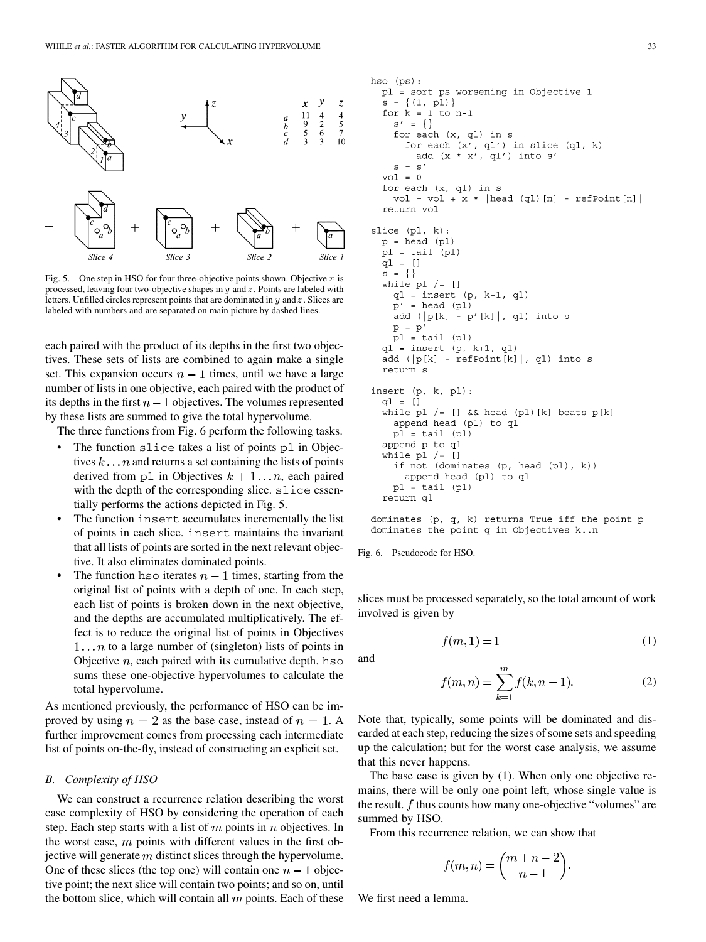

Fig. 5. One step in HSO for four three-objective points shown. Objective  $x$  is processed, leaving four two-objective shapes in  $y$  and  $z$ . Points are labeled with letters. Unfilled circles represent points that are dominated in  $y$  and  $z$ . Slices are labeled with numbers and are separated on main picture by dashed lines.

each paired with the product of its depths in the first two objectives. These sets of lists are combined to again make a single set. This expansion occurs  $n-1$  times, until we have a large number of lists in one objective, each paired with the product of its depths in the first  $n-1$  objectives. The volumes represented by these lists are summed to give the total hypervolume.

The three functions from Fig. 6 perform the following tasks.

- The function slice takes a list of points pl in Objectives  $k \dots n$  and returns a set containing the lists of points derived from p1 in Objectives  $k + 1 \dots n$ , each paired with the depth of the corresponding slice. slice essentially performs the actions depicted in Fig. 5.
- The function insert accumulates incrementally the list of points in each slice. insert maintains the invariant that all lists of points are sorted in the next relevant objective. It also eliminates dominated points.
- The function hso iterates  $n 1$  times, starting from the original list of points with a depth of one. In each step, each list of points is broken down in the next objective, and the depths are accumulated multiplicatively. The effect is to reduce the original list of points in Objectives  $1 \dots n$  to a large number of (singleton) lists of points in Objective  $n$ , each paired with its cumulative depth. hso sums these one-objective hypervolumes to calculate the total hypervolume.

As mentioned previously, the performance of HSO can be improved by using  $n = 2$  as the base case, instead of  $n = 1$ . A further improvement comes from processing each intermediate list of points on-the-fly, instead of constructing an explicit set.

#### *B. Complexity of HSO*

We can construct a recurrence relation describing the worst case complexity of HSO by considering the operation of each step. Each step starts with a list of  $m$  points in  $n$  objectives. In the worst case,  $m$  points with different values in the first objective will generate  $m$  distinct slices through the hypervolume. One of these slices (the top one) will contain one  $n - 1$  objective point; the next slice will contain two points; and so on, until the bottom slice, which will contain all  $m$  points. Each of these

```
hso(ps):pl = sort ps worsening in Objective 1
  s = \{(1, pl)\}\for k = 1 to n-1S' = \{\}for each (x, ql) in sfor each (x', q1') in slice (q1, k)<br>add (x * x', q1') into s'
    s = s'vol = 0for each (x, ql) in svol = vol + x * | head (ql) [n] - refPoint[n] |
  return vol
slice (p1, k):p = head (pl)pl = tail (pl)q1 = []s = \{\}while p1 / = []ql = insert (p, k+1, ql)p' = head (p1)add (|p[k] - p'[k]|, ql) into s
    p = p'pl = tail (pl)ql = insert (p, k+1, ql)add (p[k] - refPoint[k]), q1) into s
  return s
insert (p, k, pl):
  q1 = []while pl /= [] & k head (pl) [k] beats p[k]append head (pl) to ql
    pl = tail (pl)append p to ql
  while p1 / = []if not (dominates (p, head (pl), k))
      append head (pl) to ql
    pl = tail (pl)return ql
dominates (p, q, k) returns True iff the point p
```
dominates the point q in Objectives k..n

Fig. 6. Pseudocode for HSO.

slices must be processed separately, so the total amount of work involved is given by

$$
f(m,1) = 1\tag{1}
$$

and

$$
f(m,n) = \sum_{k=1}^{m} f(k, n-1).
$$
 (2)

Note that, typically, some points will be dominated and discarded at each step, reducing the sizes of some sets and speeding up the calculation; but for the worst case analysis, we assume that this never happens.

The base case is given by (1). When only one objective remains, there will be only one point left, whose single value is the result.  $f$  thus counts how many one-objective "volumes" are summed by HSO.

From this recurrence relation, we can show that

$$
f(m,n) = \binom{m+n-2}{n-1}.
$$

We first need a lemma.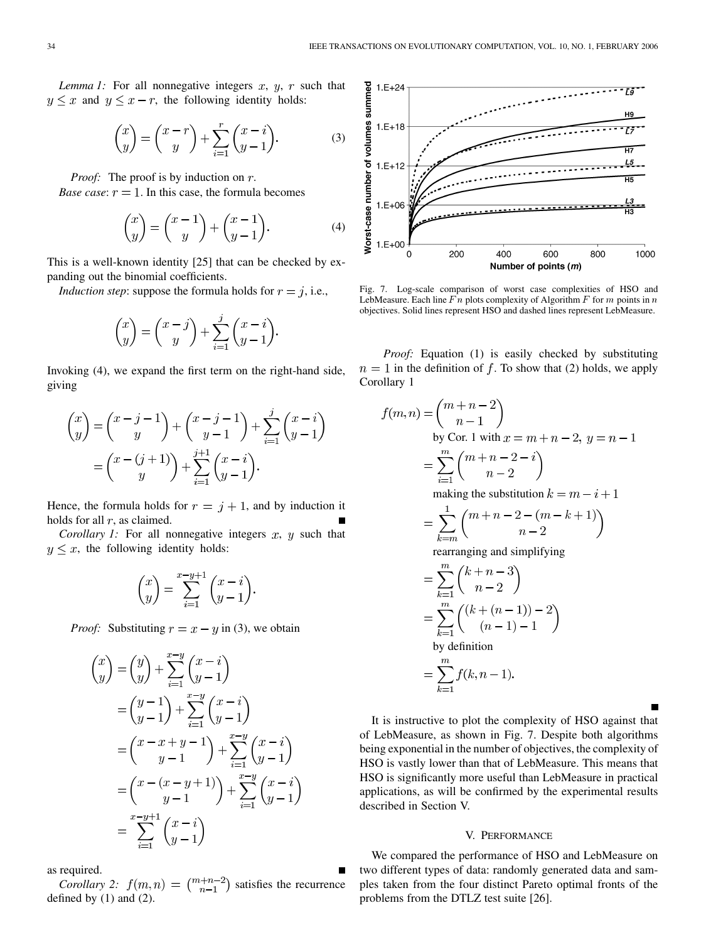*Lemma 1:* For all nonnegative integers  $x$ ,  $y$ ,  $r$  such that  $y \leq x$  and  $y \leq x - r$ , the following identity holds:

$$
\begin{pmatrix} x \\ y \end{pmatrix} = \begin{pmatrix} x - r \\ y \end{pmatrix} + \sum_{i=1}^{r} \begin{pmatrix} x - i \\ y - 1 \end{pmatrix}.
$$
 (3)

*Proof:* The proof is by induction on r.

*Base case:*  $r = 1$ . In this case, the formula becomes

$$
\begin{pmatrix} x \\ y \end{pmatrix} = \begin{pmatrix} x-1 \\ y \end{pmatrix} + \begin{pmatrix} x-1 \\ y-1 \end{pmatrix}.
$$
 (4)

This is a well-known identity [\[25](#page-10-0)] that can be checked by expanding out the binomial coefficients.

*Induction step*: suppose the formula holds for  $r = j$ , i.e.,

$$
\begin{pmatrix} x \\ y \end{pmatrix} = \begin{pmatrix} x - j \\ y \end{pmatrix} + \sum_{i=1}^{j} \begin{pmatrix} x - i \\ y - 1 \end{pmatrix}.
$$

Invoking (4), we expand the first term on the right-hand side, giving

$$
\begin{pmatrix} x \ y \end{pmatrix} = \begin{pmatrix} x-j-1 \ y \end{pmatrix} + \begin{pmatrix} x-j-1 \ y-1 \end{pmatrix} + \sum_{i=1}^{j} \begin{pmatrix} x-i \ y-1 \end{pmatrix}
$$

$$
= \begin{pmatrix} x-(j+1) \ y \end{pmatrix} + \sum_{i=1}^{j+1} \begin{pmatrix} x-i \ y-1 \end{pmatrix}.
$$

Hence, the formula holds for  $r = j + 1$ , and by induction it holds for all  $r$ , as claimed.

*Corollary 1:* For all nonnegative integers  $x$ ,  $y$  such that  $y \leq x$ , the following identity holds:

$$
\begin{pmatrix} x \\ y \end{pmatrix} = \sum_{i=1}^{x-y+1} \begin{pmatrix} x-i \\ y-1 \end{pmatrix}.
$$

*Proof:* Substituting  $r = x - y$  in (3), we obtain

$$
\begin{aligned}\n\binom{x}{y} &= \binom{y}{y} + \sum_{i=1}^{x-y} \binom{x-i}{y-1} \\
&= \binom{y-1}{y-1} + \sum_{i=1}^{x-y} \binom{x-i}{y-1} \\
&= \binom{x-x+y-1}{y-1} + \sum_{i=1}^{x-y} \binom{x-i}{y-1} \\
&= \binom{x-(x-y+1)}{y-1} + \sum_{i=1}^{x-y} \binom{x-i}{y-1} \\
&= \sum_{i=1}^{x-y+1} \binom{x-i}{y-1}\n\end{aligned}
$$

as required.

*Corollary 2:*  $f(m,n) = \binom{m+n-2}{n-1}$  satisfies the recurrence defined by  $(1)$  and  $(2)$ .



Fig. 7. Log-scale comparison of worst case complexities of HSO and LebMeasure. Each line  $Fn$  plots complexity of Algorithm  $F$  for  $m$  points in  $n$ objectives. Solid lines represent HSO and dashed lines represent LebMeasure.

*Proof:* Equation (1) is easily checked by substituting  $n = 1$  in the definition of f. To show that (2) holds, we apply Corollary 1

$$
f(m,n) = {m+n-2 \choose n-1}
$$
  
by Cor. 1 with  $x = m+n-2$ ,  $y = n-1$   

$$
= \sum_{i=1}^{m} {m+n-2-i \choose n-2}
$$
  
making the substitution  $k = m-i+1$   

$$
= \sum_{k=m}^{1} {m+n-2-(m-k+1) \choose n-2}
$$
  
rearranging and simplifying  

$$
= \sum_{k=1}^{m} {k+n-3 \choose n-2}
$$
  

$$
= \sum_{k=1}^{m} {k+(n-1) \choose (n-1)-1}
$$
  
by definition  

$$
= \sum_{k=1}^{m} f(k, n-1).
$$

It is instructive to plot the complexity of HSO against that of LebMeasure, as shown in Fig. 7. Despite both algorithms being exponential in the number of objectives, the complexity of HSO is vastly lower than that of LebMeasure. This means that HSO is significantly more useful than LebMeasure in practical applications, as will be confirmed by the experimental results described in Section V.

#### V. PERFORMANCE

We compared the performance of HSO and LebMeasure on two different types of data: randomly generated data and samples taken from the four distinct Pareto optimal fronts of the problems from the DTLZ test suite [[26\]](#page-10-0).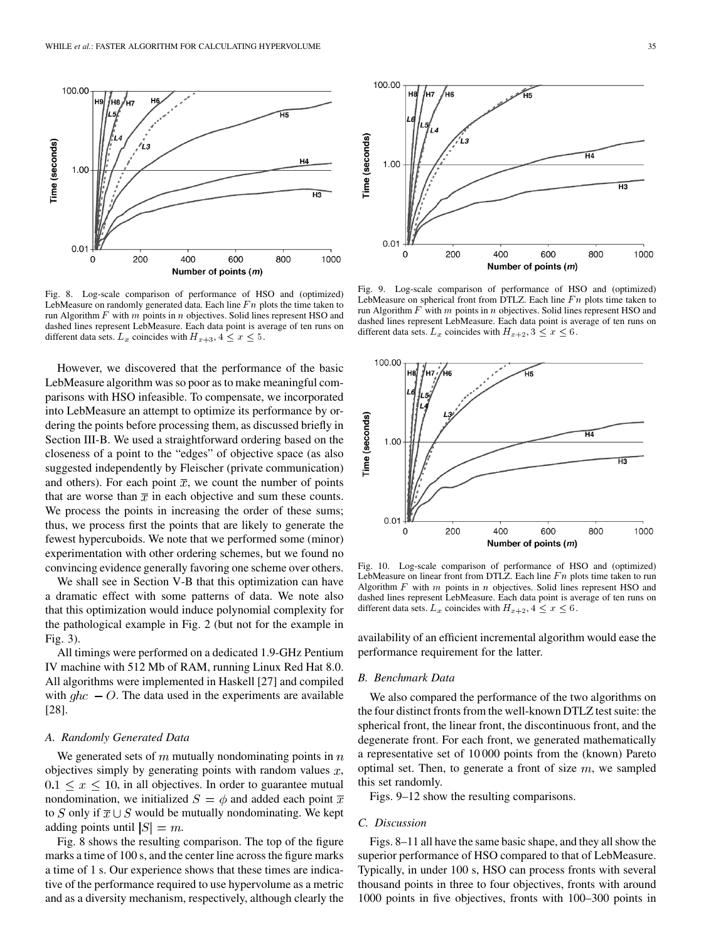

Fig. 8. Log-scale comparison of performance of HSO and (optimized) LebMeasure on randomly generated data. Each line  $Fn$  plots the time taken to run Algorithm  $F$  with  $m$  points in  $n$  objectives. Solid lines represent HSO and dashed lines represent LebMeasure. Each data point is average of ten runs on different data sets.  $L_x$  coincides with  $H_{x+3}$ ,  $4 \leq x \leq 5$ .

However, we discovered that the performance of the basic LebMeasure algorithm was so poor as to make meaningful comparisons with HSO infeasible. To compensate, we incorporated into LebMeasure an attempt to optimize its performance by ordering the points before processing them, as discussed briefly in Section III-B. We used a straightforward ordering based on the closeness of a point to the "edges" of objective space (as also suggested independently by Fleischer (private communication) and others). For each point  $\overline{x}$ , we count the number of points that are worse than  $\overline{x}$  in each objective and sum these counts. We process the points in increasing the order of these sums; thus, we process first the points that are likely to generate the fewest hypercuboids. We note that we performed some (minor) experimentation with other ordering schemes, but we found no convincing evidence generally favoring one scheme over others.

We shall see in Section V-B that this optimization can have a dramatic effect with some patterns of data. We note also that this optimization would induce polynomial complexity for the pathological example in Fig. 2 (but not for the example in Fig. 3).

All timings were performed on a dedicated 1.9-GHz Pentium IV machine with 512 Mb of RAM, running Linux Red Hat 8.0. All algorithms were implemented in Haskell [[27\]](#page-10-0) and compiled with  $ghc - O$ . The data used in the experiments are available [\[28](#page-10-0)].

#### *A. Randomly Generated Data*

We generated sets of  $m$  mutually nondominating points in  $n$ objectives simply by generating points with random values  $x$ ,  $0.1 \leq x \leq 10$ , in all objectives. In order to guarantee mutual nondomination, we initialized  $S = \phi$  and added each point  $\overline{x}$ to S only if  $\overline{x} \cup S$  would be mutually nondominating. We kept adding points until  $|S| = m$ .

Fig. 8 shows the resulting comparison. The top of the figure marks a time of 100 s, and the center line across the figure marks a time of 1 s. Our experience shows that these times are indicative of the performance required to use hypervolume as a metric and as a diversity mechanism, respectively, although clearly the



Fig. 9. Log-scale comparison of performance of HSO and (optimized) LebMeasure on spherical front from DTLZ. Each line  $Fn$  plots time taken to run Algorithm  $F$  with  $m$  points in  $n$  objectives. Solid lines represent HSO and dashed lines represent LebMeasure. Each data point is average of ten runs on different data sets.  $L_x$  coincides with  $H_{x+2}$ ,  $3 \le x \le 6$ .



Fig. 10. Log-scale comparison of performance of HSO and (optimized) LebMeasure on linear front from DTLZ. Each line  $Fn$  plots time taken to run Algorithm  $F$  with  $m$  points in  $n$  objectives. Solid lines represent HSO and dashed lines represent LebMeasure. Each data point is average of ten runs on different data sets.  $L_x$  coincides with  $H_{x+2}$ ,  $4 \le x \le 6$ .

availability of an efficient incremental algorithm would ease the performance requirement for the latter.

#### *B. Benchmark Data*

We also compared the performance of the two algorithms on the four distinct fronts from the well-known DTLZ test suite: the spherical front, the linear front, the discontinuous front, and the degenerate front. For each front, we generated mathematically a representative set of 10 000 points from the (known) Pareto optimal set. Then, to generate a front of size  $m$ , we sampled this set randomly.

Figs. 9–12 show the resulting comparisons.

#### *C. Discussion*

Figs. 8–11 all have the same basic shape, and they all show the superior performance of HSO compared to that of LebMeasure. Typically, in under 100 s, HSO can process fronts with several thousand points in three to four objectives, fronts with around 1000 points in five objectives, fronts with 100–300 points in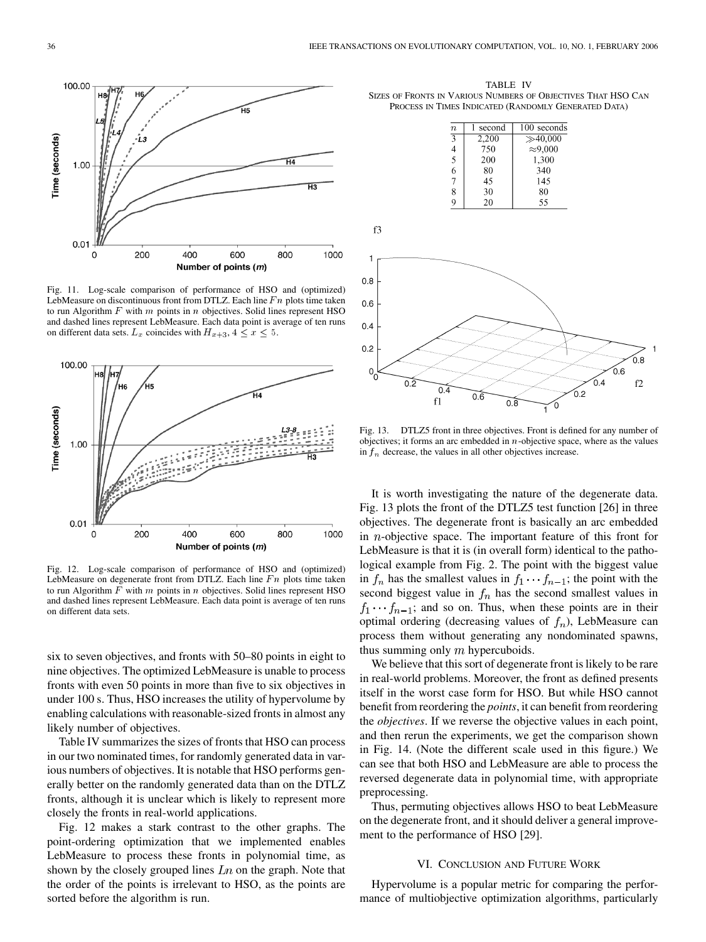

Fig. 11. Log-scale comparison of performance of HSO and (optimized) LebMeasure on discontinuous front from DTLZ. Each line  $Fn$  plots time taken to run Algorithm  $F$  with  $m$  points in  $n$  objectives. Solid lines represent HSO and dashed lines represent LebMeasure. Each data point is average of ten runs on different data sets.  $L_x$  coincides with  $H_{x+3}$ ,  $4 \le x \le 5$ .



Fig. 12. Log-scale comparison of performance of HSO and (optimized) LebMeasure on degenerate front from DTLZ. Each line  $Fn$  plots time taken to run Algorithm  $F$  with  $m$  points in  $n$  objectives. Solid lines represent HSO and dashed lines represent LebMeasure. Each data point is average of ten runs on different data sets.

six to seven objectives, and fronts with 50–80 points in eight to nine objectives. The optimized LebMeasure is unable to process fronts with even 50 points in more than five to six objectives in under 100 s. Thus, HSO increases the utility of hypervolume by enabling calculations with reasonable-sized fronts in almost any likely number of objectives.

Table IV summarizes the sizes of fronts that HSO can process in our two nominated times, for randomly generated data in various numbers of objectives. It is notable that HSO performs generally better on the randomly generated data than on the DTLZ fronts, although it is unclear which is likely to represent more closely the fronts in real-world applications.

Fig. 12 makes a stark contrast to the other graphs. The point-ordering optimization that we implemented enables LebMeasure to process these fronts in polynomial time, as shown by the closely grouped lines  $Ln$  on the graph. Note that the order of the points is irrelevant to HSO, as the points are sorted before the algorithm is run.

TABLE IV SIZES OF FRONTS IN VARIOUS NUMBERS OF OBJECTIVES THAT HSO CAN PROCESS IN TIMES INDICATED (RANDOMLY GENERATED DATA)

| $\boldsymbol{n}$                          | 1 second | $100$ seconds   |
|-------------------------------------------|----------|-----------------|
| $\frac{1}{3}$ $\frac{4}{5}$ $\frac{5}{6}$ | 2,200    | $\gg 40,000$    |
|                                           | 750      | $\approx 9,000$ |
|                                           | 200      | 1,300           |
|                                           | 80       | 340             |
|                                           | 45       | 145             |
| $\frac{7}{8}$                             | 30       | 80              |
| 9                                         | 20       | 55              |
|                                           |          |                 |
|                                           |          |                 |

f3



Fig. 13. DTLZ5 front in three objectives. Front is defined for any number of objectives; it forms an arc embedded in  $n$ -objective space, where as the values in  $f_n$  decrease, the values in all other objectives increase.

It is worth investigating the nature of the degenerate data. Fig. 13 plots the front of the DTLZ5 test function [\[26](#page-10-0)] in three objectives. The degenerate front is basically an arc embedded in  $n$ -objective space. The important feature of this front for LebMeasure is that it is (in overall form) identical to the pathological example from Fig. 2. The point with the biggest value in  $f_n$  has the smallest values in  $f_1 \cdots f_{n-1}$ ; the point with the second biggest value in  $f_n$  has the second smallest values in  $f_1 \cdots f_{n-1}$ ; and so on. Thus, when these points are in their optimal ordering (decreasing values of  $f_n$ ), LebMeasure can process them without generating any nondominated spawns, thus summing only  $m$  hypercuboids.

We believe that this sort of degenerate front is likely to be rare in real-world problems. Moreover, the front as defined presents itself in the worst case form for HSO. But while HSO cannot benefit from reordering the *points*, it can benefit from reordering the *objectives*. If we reverse the objective values in each point, and then rerun the experiments, we get the comparison shown in Fig. 14. (Note the different scale used in this figure.) We can see that both HSO and LebMeasure are able to process the reversed degenerate data in polynomial time, with appropriate preprocessing.

Thus, permuting objectives allows HSO to beat LebMeasure on the degenerate front, and it should deliver a general improvement to the performance of HSO [[29\]](#page-10-0).

#### VI. CONCLUSION AND FUTURE WORK

Hypervolume is a popular metric for comparing the performance of multiobjective optimization algorithms, particularly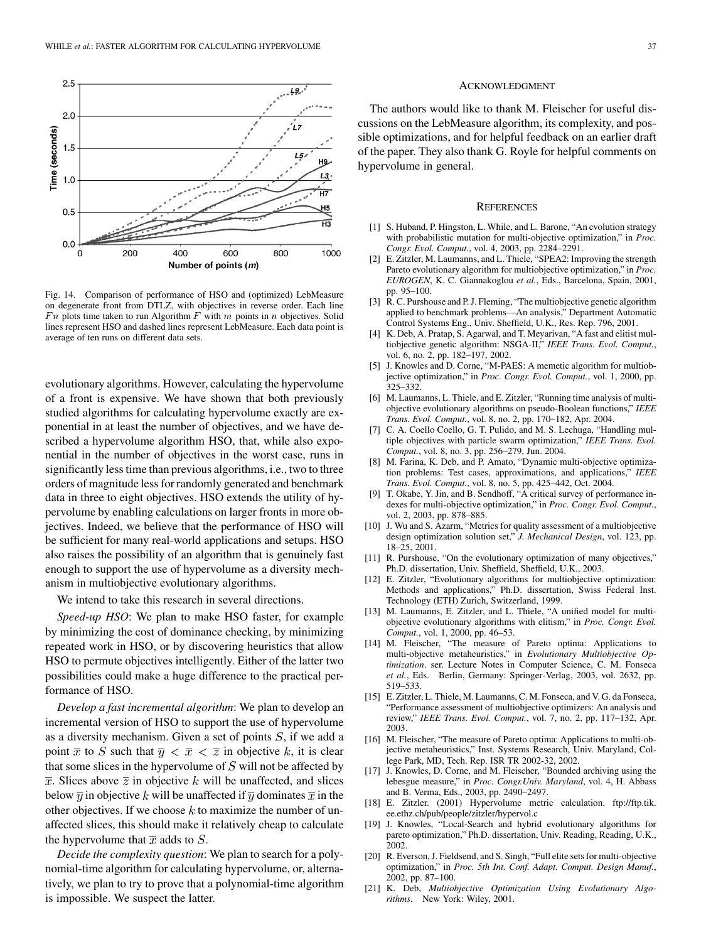<span id="page-9-0"></span>

Fig. 14. Comparison of performance of HSO and (optimized) LebMeasure on degenerate front from DTLZ, with objectives in reverse order. Each line  $Fn$  plots time taken to run Algorithm  $F$  with  $m$  points in  $n$  objectives. Solid lines represent HSO and dashed lines represent LebMeasure. Each data point is average of ten runs on different data sets.

evolutionary algorithms. However, calculating the hypervolume of a front is expensive. We have shown that both previously studied algorithms for calculating hypervolume exactly are exponential in at least the number of objectives, and we have described a hypervolume algorithm HSO, that, while also exponential in the number of objectives in the worst case, runs in significantly less time than previous algorithms, i.e., two to three orders of magnitude less for randomly generated and benchmark data in three to eight objectives. HSO extends the utility of hypervolume by enabling calculations on larger fronts in more objectives. Indeed, we believe that the performance of HSO will be sufficient for many real-world applications and setups. HSO also raises the possibility of an algorithm that is genuinely fast enough to support the use of hypervolume as a diversity mechanism in multiobjective evolutionary algorithms.

We intend to take this research in several directions.

*Speed-up HSO*: We plan to make HSO faster, for example by minimizing the cost of dominance checking, by minimizing repeated work in HSO, or by discovering heuristics that allow HSO to permute objectives intelligently. Either of the latter two possibilities could make a huge difference to the practical performance of HSO.

*Develop a fast incremental algorithm*: We plan to develop an incremental version of HSO to support the use of hypervolume as a diversity mechanism. Given a set of points  $S$ , if we add a point  $\overline{x}$  to S such that  $\overline{y} < \overline{x} < \overline{z}$  in objective k, it is clear that some slices in the hypervolume of  $S$  will not be affected by  $\overline{x}$ . Slices above  $\overline{z}$  in objective k will be unaffected, and slices below  $\overline{y}$  in objective k will be unaffected if  $\overline{y}$  dominates  $\overline{x}$  in the other objectives. If we choose  $k$  to maximize the number of unaffected slices, this should make it relatively cheap to calculate the hypervolume that  $\overline{x}$  adds to  $S$ .

*Decide the complexity question*: We plan to search for a polynomial-time algorithm for calculating hypervolume, or, alternatively, we plan to try to prove that a polynomial-time algorithm is impossible. We suspect the latter.

#### ACKNOWLEDGMENT

The authors would like to thank M. Fleischer for useful discussions on the LebMeasure algorithm, its complexity, and possible optimizations, and for helpful feedback on an earlier draft of the paper. They also thank G. Royle for helpful comments on hypervolume in general.

#### **REFERENCES**

- [1] S. Huband, P. Hingston, L. While, and L. Barone, "An evolution strategy with probabilistic mutation for multi-objective optimization," in *Proc. Congr. Evol. Comput.*, vol. 4, 2003, pp. 2284–2291.
- [2] E. Zitzler, M. Laumanns, and L. Thiele, "SPEA2: Improving the strength Pareto evolutionary algorithm for multiobjective optimization," in *Proc. EUROGEN*, K. C. Giannakoglou *et al.*, Eds., Barcelona, Spain, 2001, pp. 95–100.
- [3] R. C. Purshouse and P. J. Fleming, "The multiobjective genetic algorithm applied to benchmark problems—An analysis," Department Automatic Control Systems Eng., Univ. Sheffield, U.K., Res. Rep. 796, 2001.
- [4] K. Deb, A. Pratap, S. Agarwal, and T. Meyarivan, "A fast and elitist multiobjective genetic algorithm: NSGA-II," *IEEE Trans. Evol. Comput.*, vol. 6, no. 2, pp. 182–197, 2002.
- [5] J. Knowles and D. Corne, "M-PAES: A memetic algorithm for multiobjective optimization," in *Proc. Congr. Evol. Comput.*, vol. 1, 2000, pp. 325–332.
- [6] M. Laumanns, L. Thiele, and E. Zitzler, "Running time analysis of multiobjective evolutionary algorithms on pseudo-Boolean functions," *IEEE Trans. Evol. Comput.*, vol. 8, no. 2, pp. 170–182, Apr. 2004.
- [7] C. A. Coello Coello, G. T. Pulido, and M. S. Lechuga, "Handling multiple objectives with particle swarm optimization," *IEEE Trans. Evol. Comput.*, vol. 8, no. 3, pp. 256–279, Jun. 2004.
- [8] M. Farina, K. Deb, and P. Amato, "Dynamic multi-objective optimization problems: Test cases, approximations, and applications," *IEEE Trans. Evol. Comput.*, vol. 8, no. 5, pp. 425–442, Oct. 2004.
- [9] T. Okabe, Y. Jin, and B. Sendhoff, "A critical survey of performance indexes for multi-objective optimization," in *Proc. Congr. Evol. Comput.*, vol. 2, 2003, pp. 878–885.
- [10] J. Wu and S. Azarm, "Metrics for quality assessment of a multiobjective design optimization solution set," *J. Mechanical Design*, vol. 123, pp. 18–25, 2001.
- [11] R. Purshouse, "On the evolutionary optimization of many objectives," Ph.D. dissertation, Univ. Sheffield, Sheffield, U.K., 2003.
- [12] E. Zitzler, "Evolutionary algorithms for multiobjective optimization: Methods and applications," Ph.D. dissertation, Swiss Federal Inst. Technology (ETH) Zurich, Switzerland, 1999.
- [13] M. Laumanns, E. Zitzler, and L. Thiele, "A unified model for multiobjective evolutionary algorithms with elitism," in *Proc. Congr. Evol. Comput.*, vol. 1, 2000, pp. 46–53.
- [14] M. Fleischer, "The measure of Pareto optima: Applications to multi-objective metaheuristics," in *Evolutionary Multiobjective Optimization*. ser. Lecture Notes in Computer Science, C. M. Fonseca *et al.*, Eds. Berlin, Germany: Springer-Verlag, 2003, vol. 2632, pp. 519–533.
- [15] E. Zitzler, L. Thiele, M. Laumanns, C. M. Fonseca, and V. G. da Fonseca, "Performance assessment of multiobjective optimizers: An analysis and review," *IEEE Trans. Evol. Comput.*, vol. 7, no. 2, pp. 117–132, Apr. 2003.
- [16] M. Fleischer, "The measure of Pareto optima: Applications to multi-objective metaheuristics," Inst. Systems Research, Univ. Maryland, College Park, MD, Tech. Rep. ISR TR 2002-32, 2002.
- [17] J. Knowles, D. Corne, and M. Fleischer, "Bounded archiving using the lebesgue measure," in *Proc. Congr.Univ. Maryland*, vol. 4, H. Abbass and B. Verma, Eds., 2003, pp. 2490–2497.
- [18] E. Zitzler. (2001) Hypervolume metric calculation. ftp://ftp.tik. ee.ethz.ch/pub/people/zitzler/hypervol.c
- [19] J. Knowles, "Local-Search and hybrid evolutionary algorithms for pareto optimization," Ph.D. dissertation, Univ. Reading, Reading, U.K., 2002.
- [20] R. Everson, J. Fieldsend, and S. Singh, "Full elite sets for multi-objective optimization," in *Proc. 5th Int. Conf. Adapt. Comput. Design Manuf.*, 2002, pp. 87–100.
- [21] K. Deb, *Multiobjective Optimization Using Evolutionary Algorithms*. New York: Wiley, 2001.